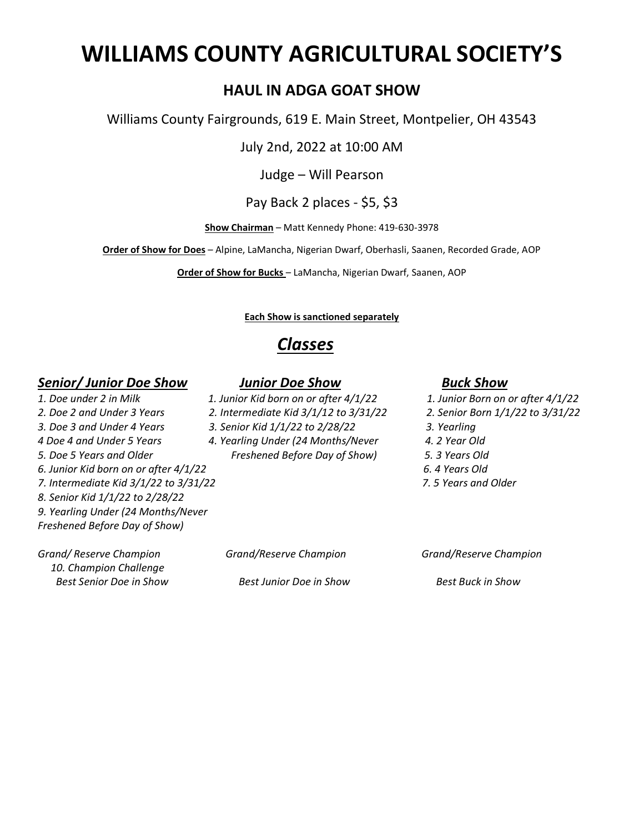# **WILLIAMS COUNTY AGRICULTURAL SOCIETY'S**

#### **HAUL IN ADGA GOAT SHOW**

Williams County Fairgrounds, 619 E. Main Street, Montpelier, OH 43543

July 2nd, 2022 at 10:00 AM

Judge – Will Pearson

Pay Back 2 places - \$5, \$3

**Show Chairman** – Matt Kennedy Phone: 419-630-3978

**Order of Show for Does** – Alpine, LaMancha, Nigerian Dwarf, Oberhasli, Saanen, Recorded Grade, AOP

**Order of Show for Bucks** – LaMancha, Nigerian Dwarf, Saanen, AOP

#### **Each Show is sanctioned separately**

### *Classes*

#### *Senior/ Junior Doe Show Junior Doe Show Buck Show*

- *1. Doe under 2 in Milk 1. Junior Kid born on or after 4/1/22 1. Junior Born on or after 4/1/22*
	-
- *3. Doe 3 and Under 4 Years 3. Senior Kid 1/1/22 to 2/28/22 3. Yearling*
- *4 Doe 4 and Under 5 Years 4. Yearling Under (24 Months/Never 4. 2 Year Old 5. Doe 5 Years and Older Freshened Before Day of Show) 5. 3 Years Old*

- 
- *2. Doe 2 and Under 3 Years 2. Intermediate Kid 3/1/12 to 3/31/22 2. Senior Born 1/1/22 to 3/31/22*
	-
	-
	-
- *6. Junior Kid born on or after 4/1/22 6. 4 Years Old*
- *7. Intermediate Kid 3/1/22 to 3/31/22 7. 5 Years and Older*

*Grand/ Reserve Champion Grand/Reserve Champion Grand/Reserve Champion 10. Champion Challenge Best Senior Doe in Show Best Junior Doe in Show Best Buck in Show*

*8. Senior Kid 1/1/22 to 2/28/22 9. Yearling Under (24 Months/Never Freshened Before Day of Show)*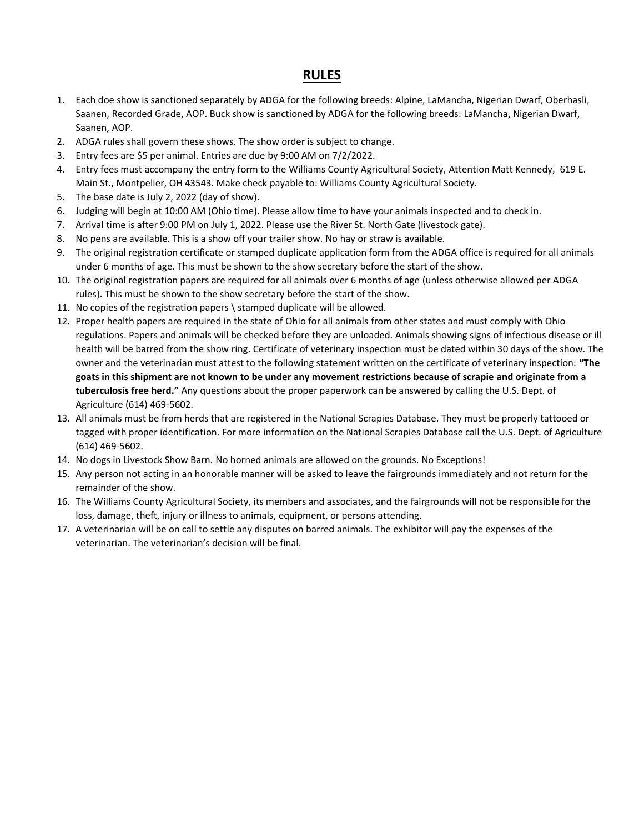#### **RULES**

- 1. Each doe show is sanctioned separately by ADGA for the following breeds: Alpine, LaMancha, Nigerian Dwarf, Oberhasli, Saanen, Recorded Grade, AOP. Buck show is sanctioned by ADGA for the following breeds: LaMancha, Nigerian Dwarf, Saanen, AOP.
- 2. ADGA rules shall govern these shows. The show order is subject to change.
- 3. Entry fees are \$5 per animal. Entries are due by 9:00 AM on 7/2/2022.
- 4. Entry fees must accompany the entry form to the Williams County Agricultural Society, Attention Matt Kennedy, 619 E. Main St., Montpelier, OH 43543. Make check payable to: Williams County Agricultural Society.
- 5. The base date is July 2, 2022 (day of show).
- 6. Judging will begin at 10:00 AM (Ohio time). Please allow time to have your animals inspected and to check in.
- 7. Arrival time is after 9:00 PM on July 1, 2022. Please use the River St. North Gate (livestock gate).
- 8. No pens are available. This is a show off your trailer show. No hay or straw is available.
- 9. The original registration certificate or stamped duplicate application form from the ADGA office is required for all animals under 6 months of age. This must be shown to the show secretary before the start of the show.
- 10. The original registration papers are required for all animals over 6 months of age (unless otherwise allowed per ADGA rules). This must be shown to the show secretary before the start of the show.
- 11. No copies of the registration papers \ stamped duplicate will be allowed.
- 12. Proper health papers are required in the state of Ohio for all animals from other states and must comply with Ohio regulations. Papers and animals will be checked before they are unloaded. Animals showing signs of infectious disease or ill health will be barred from the show ring. Certificate of veterinary inspection must be dated within 30 days of the show. The owner and the veterinarian must attest to the following statement written on the certificate of veterinary inspection: **"The goats in this shipment are not known to be under any movement restrictions because of scrapie and originate from a tuberculosis free herd."** Any questions about the proper paperwork can be answered by calling the U.S. Dept. of Agriculture (614) 469-5602.
- 13. All animals must be from herds that are registered in the National Scrapies Database. They must be properly tattooed or tagged with proper identification. For more information on the National Scrapies Database call the U.S. Dept. of Agriculture (614) 469-5602.
- 14. No dogs in Livestock Show Barn. No horned animals are allowed on the grounds. No Exceptions!
- 15. Any person not acting in an honorable manner will be asked to leave the fairgrounds immediately and not return for the remainder of the show.
- 16. The Williams County Agricultural Society, its members and associates, and the fairgrounds will not be responsible for the loss, damage, theft, injury or illness to animals, equipment, or persons attending.
- 17. A veterinarian will be on call to settle any disputes on barred animals. The exhibitor will pay the expenses of the veterinarian. The veterinarian's decision will be final.